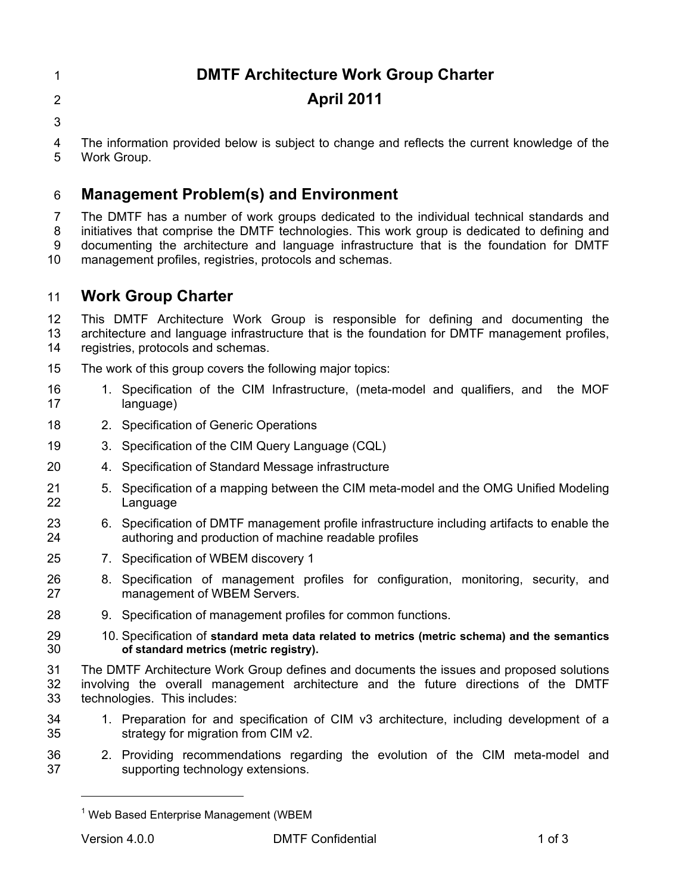### **DMTF Architecture Work Group Charter**

- **April 2011**
- 

 The information provided below is subject to change and reflects the current knowledge of the Work Group.

## **Management Problem(s) and Environment**

 The DMTF has a number of work groups dedicated to the individual technical standards and initiatives that comprise the DMTF technologies. This work group is dedicated to defining and documenting the architecture and language infrastructure that is the foundation for DMTF management profiles, registries, protocols and schemas.

### **Work Group Charter**

 This DMTF Architecture Work Group is responsible for defining and documenting the architecture and language infrastructure that is the foundation for DMTF management profiles, registries, protocols and schemas.

- The work of this group covers the following major topics:
- 1. Specification of the CIM Infrastructure, (meta-model and qualifiers, and the MOF language)
- 2. Specification of Generic Operations
- 3. Specification of the CIM Query Language (CQL)
- 4. Specification of Standard Message infrastructure
- 5. Specification of a mapping between the CIM meta-model and the OMG Unified Modeling Language
- 6. Specification of DMTF management profile infrastructure including artifacts to enable the authoring and production of machine readable profiles
- 7. Specification of WBEM discovery 1
- 8. Specification of management profiles for configuration, monitoring, security, and management of WBEM Servers.
- 9. Specification of management profiles for common functions.
- 10. Specification of **standard meta data related to metrics (metric schema) and the semantics of standard metrics (metric registry).**
- The DMTF Architecture Work Group defines and documents the issues and proposed solutions involving the overall management architecture and the future directions of the DMTF technologies. This includes:
- 1. Preparation for and specification of CIM v3 architecture, including development of a strategy for migration from CIM v2.
- 2. Providing recommendations regarding the evolution of the CIM meta-model and supporting technology extensions.

 $\overline{a}$ 

Web Based Enterprise Management (WBEM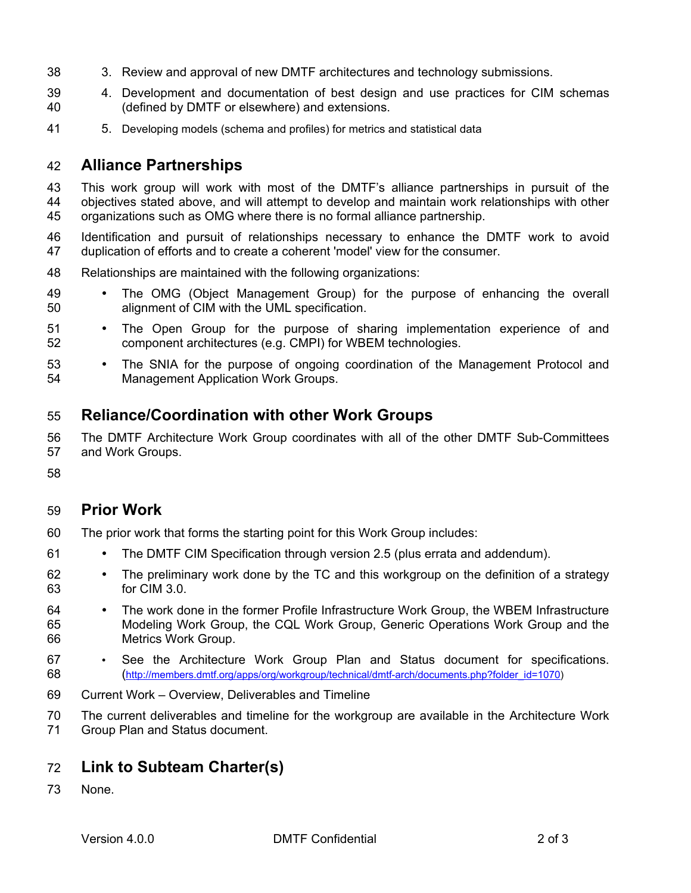- 3. Review and approval of new DMTF architectures and technology submissions.
- 4. Development and documentation of best design and use practices for CIM schemas (defined by DMTF or elsewhere) and extensions.
- 5. Developing models (schema and profiles) for metrics and statistical data

#### **Alliance Partnerships**

 This work group will work with most of the DMTF's alliance partnerships in pursuit of the objectives stated above, and will attempt to develop and maintain work relationships with other organizations such as OMG where there is no formal alliance partnership.

- Identification and pursuit of relationships necessary to enhance the DMTF work to avoid duplication of efforts and to create a coherent 'model' view for the consumer.
- Relationships are maintained with the following organizations:
- The OMG (Object Management Group) for the purpose of enhancing the overall alignment of CIM with the UML specification.
- 51 The Open Group for the purpose of sharing implementation experience of and<br>52 component architectures (e.g. CMPI) for WBEM technologies. component architectures (e.g. CMPI) for WBEM technologies.
- 53 The SNIA for the purpose of ongoing coordination of the Management Protocol and<br>54  **Management Application Work Groups**. Management Application Work Groups.

### **Reliance/Coordination with other Work Groups**

 The DMTF Architecture Work Group coordinates with all of the other DMTF Sub-Committees and Work Groups.

### **Prior Work**

- The prior work that forms the starting point for this Work Group includes:
- The DMTF CIM Specification through version 2.5 (plus errata and addendum).
- The preliminary work done by the TC and this workgroup on the definition of a strategy for CIM 3.0.
- The work done in the former Profile Infrastructure Work Group, the WBEM Infrastructure Modeling Work Group, the CQL Work Group, Generic Operations Work Group and the Metrics Work Group.
- See the Architecture Work Group Plan and Status document for specifications. (http://members.dmtf.org/apps/org/workgroup/technical/dmtf-arch/documents.php?folder\_id=1070)
- Current Work Overview, Deliverables and Timeline
- The current deliverables and timeline for the workgroup are available in the Architecture Work
- Group Plan and Status document.

### **Link to Subteam Charter(s)**

None.